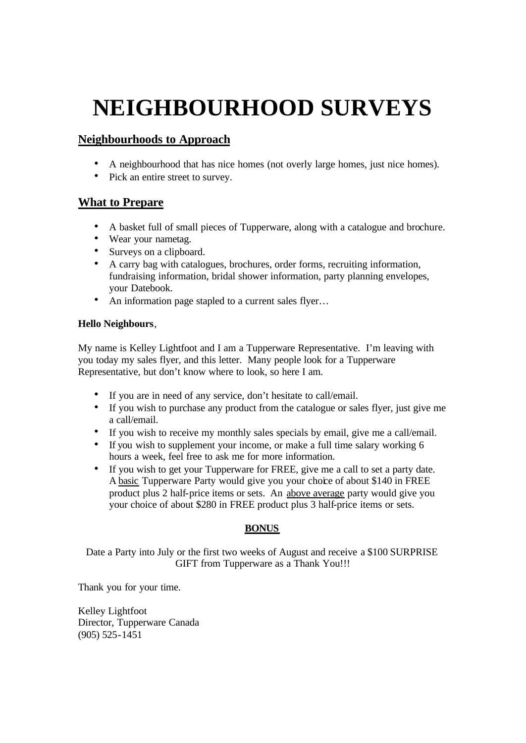# **NEIGHBOURHOOD SURVEYS**

# **Neighbourhoods to Approach**

- A neighbourhood that has nice homes (not overly large homes, just nice homes).
- Pick an entire street to survey.

## **What to Prepare**

- A basket full of small pieces of Tupperware, along with a catalogue and brochure.
- Wear your nametag.
- Surveys on a clipboard.
- A carry bag with catalogues, brochures, order forms, recruiting information, fundraising information, bridal shower information, party planning envelopes, your Datebook.
- An information page stapled to a current sales flyer...

#### **Hello Neighbours**,

My name is Kelley Lightfoot and I am a Tupperware Representative. I'm leaving with you today my sales flyer, and this letter. Many people look for a Tupperware Representative, but don't know where to look, so here I am.

- If you are in need of any service, don't hesitate to call/email.
- If you wish to purchase any product from the catalogue or sales flyer, just give me a call/email.
- If you wish to receive my monthly sales specials by email, give me a call/email.
- If you wish to supplement your income, or make a full time salary working 6 hours a week, feel free to ask me for more information.
- If you wish to get your Tupperware for FREE, give me a call to set a party date. A basic Tupperware Party would give you your choice of about \$140 in FREE product plus 2 half-price items or sets. An above average party would give you your choice of about \$280 in FREE product plus 3 half-price items or sets.

### **BONUS**

Date a Party into July or the first two weeks of August and receive a \$100 SURPRISE GIFT from Tupperware as a Thank You!!!

Thank you for your time.

Kelley Lightfoot Director, Tupperware Canada (905) 525-1451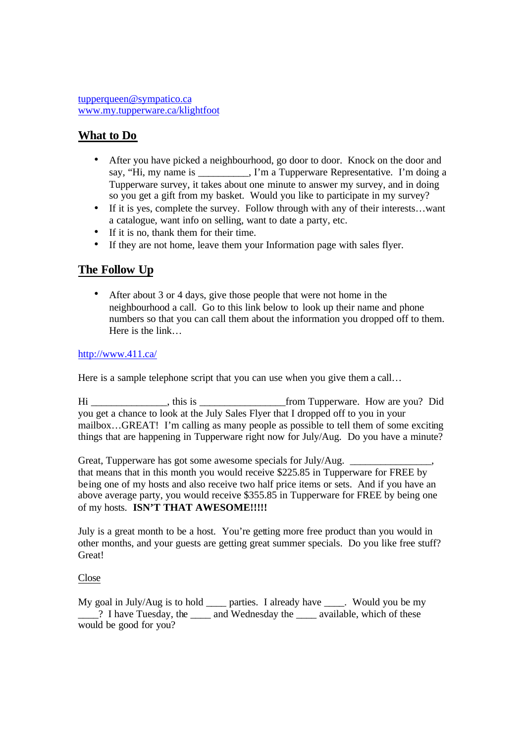## **What to Do**

- After you have picked a neighbourhood, go door to door. Knock on the door and say, "Hi, my name is \_\_\_\_\_\_\_\_, I'm a Tupperware Representative. I'm doing a Tupperware survey, it takes about one minute to answer my survey, and in doing so you get a gift from my basket. Would you like to participate in my survey?
- If it is yes, complete the survey. Follow through with any of their interests...want a catalogue, want info on selling, want to date a party, etc.
- If it is no, thank them for their time.
- If they are not home, leave them your Information page with sales flyer.

### **The Follow Up**

• After about 3 or 4 days, give those people that were not home in the neighbourhood a call. Go to this link below to look up their name and phone numbers so that you can call them about the information you dropped off to them. Here is the link…

http://www.411.ca/

Here is a sample telephone script that you can use when you give them a call...

Hi \_\_\_\_\_\_\_\_\_\_\_\_\_\_\_, this is \_\_\_\_\_\_\_\_\_\_\_\_\_\_\_\_\_from Tupperware. How are you? Did you get a chance to look at the July Sales Flyer that I dropped off to you in your mailbox…GREAT! I'm calling as many people as possible to tell them of some exciting things that are happening in Tupperware right now for July/Aug. Do you have a minute?

Great, Tupperware has got some awesome specials for July/Aug. that means that in this month you would receive \$225.85 in Tupperware for FREE by being one of my hosts and also receive two half price items or sets. And if you have an above average party, you would receive \$355.85 in Tupperware for FREE by being one of my hosts. **ISN'T THAT AWESOME!!!!!**

July is a great month to be a host. You're getting more free product than you would in other months, and your guests are getting great summer specials. Do you like free stuff? Great!

#### Close

My goal in July/Aug is to hold \_\_\_\_ parties. I already have \_\_\_\_. Would you be my Parameter 2. I have Tuesday, the and Wednesday the available, which of these would be good for you?